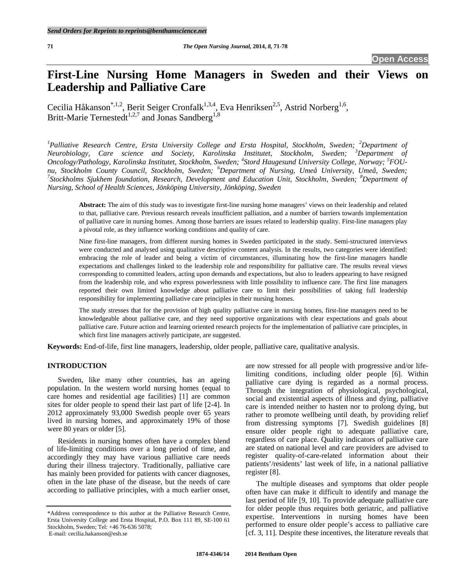# **First-Line Nursing Home Managers in Sweden and their Views on Leadership and Palliative Care**

Cecilia Håkanson<sup>\*,1,2</sup>, Berit Seiger Cronfalk<sup>1,3,4</sup>, Eva Henriksen<sup>2,5</sup>, Astrid Norberg<sup>1,6</sup>, Britt-Marie Ternestedt<sup>1,2,7</sup> and Jonas Sandberg<sup>1,8</sup>

<sup>1</sup> Palliative Research Centre, Ersta University College and Ersta Hospital, Stockholm, Sweden; <sup>2</sup>Department of *Neurobiology, Care science and Society, Karolinska Institutet, Stockholm, Sweden; <sup>3</sup> Department of Oncology/Pathology, Karolinska Institutet, Stockholm, Sweden; <sup>4</sup> Stord Haugesund University College, Norway; <sup>5</sup> FOUnu, Stockholm County Council, Stockholm, Sweden; <sup>6</sup> Department of Nursing, Umeå University, Umeå, Sweden; 7 Stockholms Sjukhem foundation, Research, Development and Education Unit, Stockholm, Sweden; <sup>8</sup> Department of Nursing, School of Health Sciences, Jönköping University, Jönköping, Sweden* 

**Abstract:** The aim of this study was to investigate first-line nursing home managers' views on their leadership and related to that, palliative care. Previous research reveals insufficient palliation, and a number of barriers towards implementation of palliative care in nursing homes. Among those barriers are issues related to leadership quality. First-line managers play a pivotal role, as they influence working conditions and quality of care.

Nine first-line managers, from different nursing homes in Sweden participated in the study. Semi-structured interviews were conducted and analysed using qualitative descriptive content analysis. In the results, two categories were identified: embracing the role of leader and being a victim of circumstances, illuminating how the first-line managers handle expectations and challenges linked to the leadership role and responsibility for palliative care. The results reveal views corresponding to committed leaders, acting upon demands and expectations, but also to leaders appearing to have resigned from the leadership role, and who express powerlessness with little possibility to influence care. The first line managers reported their own limited knowledge about palliative care to limit their possibilities of taking full leadership responsibility for implementing palliative care principles in their nursing homes.

The study stresses that for the provision of high quality palliative care in nursing homes, first-line managers need to be knowledgeable about palliative care, and they need supportive organizations with clear expectations and goals about palliative care. Future action and learning oriented research projects for the implementation of palliative care principles, in which first line managers actively participate, are suggested.

**Keywords:** End-of-life, first line managers, leadership, older people, palliative care, qualitative analysis.

# **INTRODUCTION**

 Sweden, like many other countries, has an ageing population. In the western world nursing homes (equal to care homes and residential age facilities) [1] are common sites for older people to spend their last part of life [2-4]. In 2012 approximately 93,000 Swedish people over 65 years lived in nursing homes, and approximately 19% of those were 80 years or older [5].

 Residents in nursing homes often have a complex blend of life-limiting conditions over a long period of time, and accordingly they may have various palliative care needs during their illness trajectory. Traditionally, palliative care has mainly been provided for patients with cancer diagnoses, often in the late phase of the disease, but the needs of care according to palliative principles, with a much earlier onset,

are now stressed for all people with progressive and/or lifelimiting conditions, including older people [6]. Within palliative care dying is regarded as a normal process. Through the integration of physiological, psychological, social and existential aspects of illness and dying, palliative care is intended neither to hasten nor to prolong dying, but rather to promote wellbeing until death, by providing relief from distressing symptoms [7]. Swedish guidelines [8] ensure older people right to adequate palliative care, regardless of care place. Quality indicators of palliative care are stated on national level and care providers are advised to register quality-of-care-related information about their patients'/residents' last week of life, in a national palliative register [8].

 The multiple diseases and symptoms that older people often have can make it difficult to identify and manage the last period of life [9, 10]. To provide adequate palliative care for older people thus requires both geriatric, and palliative expertise. Interventions in nursing homes have been performed to ensure older people's access to palliative care [cf. 3, 11]. Despite these incentives, the literature reveals that

<sup>\*</sup>Address correspondence to this author at the Palliative Research Centre, Ersta University College and Ersta Hospital, P.O. Box 111 89, SE-100 61 Stockholm, Sweden; Tel: +46 76-636 5078; E-mail: cecilia.hakanson@esh.se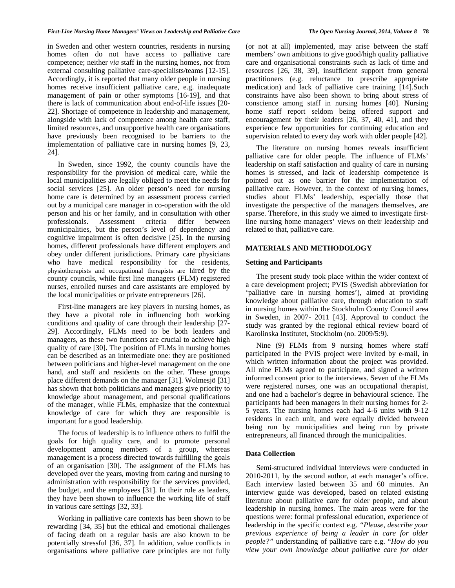in Sweden and other western countries, residents in nursing homes often do not have access to palliative care competence; neither *via* staff in the nursing homes, nor from external consulting palliative care-specialists/teams [12-15]. Accordingly, it is reported that many older people in nursing homes receive insufficient palliative care, e.g. inadequate management of pain or other symptoms [16-19], and that there is lack of communication about end-of-life issues [20- 22]. Shortage of competence in leadership and management, alongside with lack of competence among health care staff, limited resources, and unsupportive health care organisations have previously been recognised to be barriers to the implementation of palliative care in nursing homes [9, 23, 24].

 In Sweden, since 1992, the county councils have the responsibility for the provision of medical care, while the local municipalities are legally obliged to meet the needs for social services [25]. An older person's need for nursing home care is determined by an assessment process carried out by a municipal care manager in co-operation with the old person and his or her family, and in consultation with other professionals. Assessment criteria differ between municipalities, but the person's level of dependency and cognitive impairment is often decisive [25]. In the nursing homes, different professionals have different employers and obey under different jurisdictions. Primary care physicians who have medical responsibility for the residents, physiotherapists and occupational therapists are hired by the county councils, while first line managers (FLM) registered nurses, enrolled nurses and care assistants are employed by the local municipalities or private entrepreneurs [26].

 First-line managers are key players in nursing homes, as they have a pivotal role in influencing both working conditions and quality of care through their leadership [27- 29]. Accordingly, FLMs need to be both leaders and managers, as these two functions are crucial to achieve high quality of care [30]. The position of FLMs in nursing homes can be described as an intermediate one: they are positioned between politicians and higher-level management on the one hand, and staff and residents on the other. These groups place different demands on the manager [31]. Wolmesjö [31] has shown that both politicians and managers give priority to knowledge about management, and personal qualifications of the manager, while FLMs, emphasize that the contextual knowledge of care for which they are responsible is important for a good leadership.

 The focus of leadership is to influence others to fulfil the goals for high quality care, and to promote personal development among members of a group, whereas management is a process directed towards fulfilling the goals of an organisation [30]. The assignment of the FLMs has developed over the years, moving from caring and nursing to administration with responsibility for the services provided, the budget, and the employees [31]. In their role as leaders, they have been shown to influence the working life of staff in various care settings [32, 33].

 Working in palliative care contexts has been shown to be rewarding [34, 35] but the ethical and emotional challenges of facing death on a regular basis are also known to be potentially stressful [36, 37]. In addition, value conflicts in organisations where palliative care principles are not fully (or not at all) implemented, may arise between the staff members' own ambitions to give good/high quality palliative care and organisational constraints such as lack of time and resources [26, 38, 39], insufficient support from general practitioners (e.g. reluctance to prescribe appropriate medication) and lack of palliative care training [14].Such constraints have also been shown to bring about stress of conscience among staff in nursing homes [40]. Nursing home staff report seldom being offered support and encouragement by their leaders [26, 37, 40, 41], and they experience few opportunities for continuing education and supervision related to every day work with older people [42].

 The literature on nursing homes reveals insufficient palliative care for older people. The influence of FLMs' leadership on staff satisfaction and quality of care in nursing homes is stressed, and lack of leadership competence is pointed out as one barrier for the implementation of palliative care. However, in the context of nursing homes, studies about FLMs' leadership, especially those that investigate the perspective of the managers themselves, are sparse. Therefore, in this study we aimed to investigate firstline nursing home managers' views on their leadership and related to that, palliative care.

#### **MATERIALS AND METHODOLOGY**

#### **Setting and Participants**

 The present study took place within the wider context of a care development project; PVIS (Swedish abbreviation for 'palliative care in nursing homes'), aimed at providing knowledge about palliative care, through education to staff in nursing homes within the Stockholm County Council area in Sweden, in 2007- 2011 [43]. Approval to conduct the study was granted by the regional ethical review board of Karolinska Institutet, Stockholm (no. 2009/5:9).

 Nine (9) FLMs from 9 nursing homes where staff participated in the PVIS project were invited by e-mail, in which written information about the project was provided. All nine FLMs agreed to participate, and signed a written informed consent prior to the interviews. Seven of the FLMs were registered nurses, one was an occupational therapist, and one had a bachelor's degree in behavioural science. The participants had been managers in their nursing homes for 2- 5 years. The nursing homes each had 4-6 units with 9-12 residents in each unit, and were equally divided between being run by municipalities and being run by private entrepreneurs, all financed through the municipalities.

## **Data Collection**

 Semi-structured individual interviews were conducted in 2010-2011, by the second author, at each manager's office. Each interview lasted between 35 and 60 minutes. An interview guide was developed, based on related existing literature about palliative care for older people, and about leadership in nursing homes. The main areas were for the questions were: formal professional education, experience of leadership in the specific context e.g. *"Please, describe your previous experience of being a leader in care for older people?"* understanding of palliative care e.g. "*How do you view your own knowledge about palliative care for older*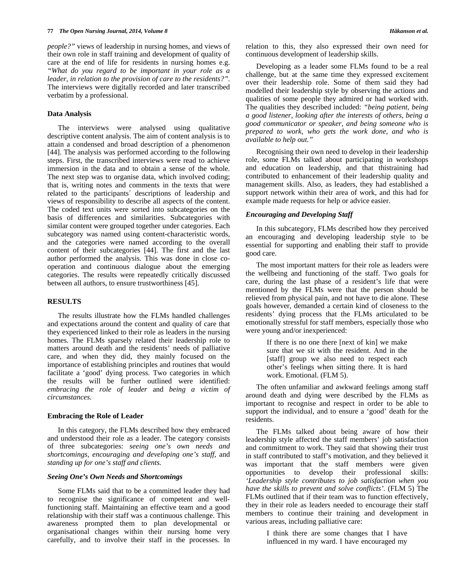*people?"* views of leadership in nursing homes, and views of their own role in staff training and development of quality of care at the end of life for residents in nursing homes e.g. *"What do you regard to be important in your role as a leader, in relation to the provision of care to the residents?"*. The interviews were digitally recorded and later transcribed verbatim by a professional.

## **Data Analysis**

 The interviews were analysed using qualitative descriptive content analysis. The aim of content analysis is to attain a condensed and broad description of a phenomenon [44]. The analysis was performed according to the following steps. First, the transcribed interviews were read to achieve immersion in the data and to obtain a sense of the whole. The next step was to organise data, which involved coding; that is, writing notes and comments in the texts that were related to the participants´ descriptions of leadership and views of responsibility to describe all aspects of the content. The coded text units were sorted into subcategories on the basis of differences and similarities. Subcategories with similar content were grouped together under categories. Each subcategory was named using content-characteristic words, and the categories were named according to the overall content of their subcategories [44]. The first and the last author performed the analysis. This was done in close cooperation and continuous dialogue about the emerging categories. The results were repeatedly critically discussed between all authors, to ensure trustworthiness [45].

### **RESULTS**

 The results illustrate how the FLMs handled challenges and expectations around the content and quality of care that they experienced linked to their role as leaders in the nursing homes. The FLMs sparsely related their leadership role to matters around death and the residents' needs of palliative care, and when they did, they mainly focused on the importance of establishing principles and routines that would facilitate a 'good' dying process. Two categories in which the results will be further outlined were identified: *embracing the role of leader* and *being a victim of circumstances.*

#### **Embracing the Role of Leader**

 In this category, the FLMs described how they embraced and understood their role as a leader. The category consists of three subcategories: *seeing one's own needs and shortcomings, encouraging and developing one's staff*, and *standing up for one's staff and clients.* 

# *Seeing One's Own Needs and Shortcomings*

 Some FLMs said that to be a committed leader they had to recognise the significance of competent and wellfunctioning staff. Maintaining an effective team and a good relationship with their staff was a continuous challenge. This awareness prompted them to plan developmental or organisational changes within their nursing home very carefully, and to involve their staff in the processes. In

relation to this, they also expressed their own need for continuous development of leadership skills.

 Developing as a leader some FLMs found to be a real challenge, but at the same time they expressed excitement over their leadership role. Some of them said they had modelled their leadership style by observing the actions and qualities of some people they admired or had worked with. The qualities they described included: *"being patient, being a good listener, looking after the interests of others, being a good communicator or speaker, and being someone who is prepared to work, who gets the work done, and who is available to help out."*

 Recognising their own need to develop in their leadership role, some FLMs talked about participating in workshops and education on leadership, and that thistraining had contributed to enhancement of their leadership quality and management skills. Also, as leaders, they had established a support network within their area of work, and this had for example made requests for help or advice easier.

#### *Encouraging and Developing Staff*

 In this subcategory, FLMs described how they perceived an encouraging and developing leadership style to be essential for supporting and enabling their staff to provide good care.

 The most important matters for their role as leaders were the wellbeing and functioning of the staff. Two goals for care, during the last phase of a resident's life that were mentioned by the FLMs were that the person should be relieved from physical pain, and not have to die alone. These goals however, demanded a certain kind of closeness to the residents' dying process that the FLMs articulated to be emotionally stressful for staff members, especially those who were young and/or inexperienced:

> If there is no one there [next of kin] we make sure that we sit with the resident. And in the [staff] group we also need to respect each other's feelings when sitting there. It is hard work. Emotional. (FLM 5).

 The often unfamiliar and awkward feelings among staff around death and dying were described by the FLMs as important to recognise and respect in order to be able to support the individual, and to ensure a 'good' death for the residents.

 The FLMs talked about being aware of how their leadership style affected the staff members' job satisfaction and commitment to work. They said that showing their trust in staff contributed to staff's motivation, and they believed it was important that the staff members were given opportunities to develop their professional skills: *'Leadership style contributes to job satisfaction when you have the skills to prevent and solve conflicts'.* (FLM 5) The FLMs outlined that if their team was to function effectively, they in their role as leaders needed to encourage their staff members to continue their training and development in various areas, including palliative care:

> I think there are some changes that I have influenced in my ward. I have encouraged my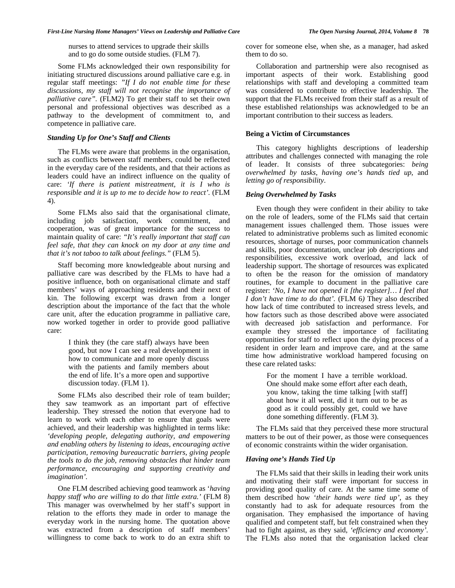nurses to attend services to upgrade their skills and to go do some outside studies. (FLM 7).

 Some FLMs acknowledged their own responsibility for initiating structured discussions around palliative care e.g. in regular staff meetings: *"If I do not enable time for these discussions, my staff will not recognise the importance of palliative care".* (FLM2) To get their staff to set their own personal and professional objectives was described as a pathway to the development of commitment to, and competence in palliative care.

# *Standing Up for One's Staff and Clients*

 The FLMs were aware that problems in the organisation, such as conflicts between staff members, could be reflected in the everyday care of the residents, and that their actions as leaders could have an indirect influence on the quality of care: *'If there is patient mistreatment, it is I who is responsible and it is up to me to decide how to react'.* (FLM 4).

 Some FLMs also said that the organisational climate, including job satisfaction, work commitment, and cooperation, was of great importance for the success to maintain quality of care: *"It's really important that staff can feel safe, that they can knock on my door at any time and that it's not taboo to talk about feelings."* (FLM 5).

 Staff becoming more knowledgeable about nursing and palliative care was described by the FLMs to have had a positive influence, both on organisational climate and staff members' ways of approaching residents and their next of kin. The following excerpt was drawn from a longer description about the importance of the fact that the whole care unit, after the education programme in palliative care, now worked together in order to provide good palliative care:

> I think they (the care staff) always have been good, but now I can see a real development in how to communicate and more openly discuss with the patients and family members about the end of life. It's a more open and supportive discussion today. (FLM 1).

 Some FLMs also described their role of team builder; they saw teamwork as an important part of effective leadership. They stressed the notion that everyone had to learn to work with each other to ensure that goals were achieved, and their leadership was highlighted in terms like: *'developing people, delegating authority, and empowering and enabling others by listening to ideas, encouraging active participation, removing bureaucratic barriers, giving people the tools to do the job, removing obstacles that hinder team performance, encouraging and supporting creativity and imagination'.*

 One FLM described achieving good teamwork as '*having happy staff who are willing to do that little extra.'* (FLM 8) This manager was overwhelmed by her staff's support in relation to the efforts they made in order to manage the everyday work in the nursing home. The quotation above was extracted from a description of staff members' willingness to come back to work to do an extra shift to

cover for someone else, when she, as a manager, had asked them to do so.

 Collaboration and partnership were also recognised as important aspects of their work. Establishing good relationships with staff and developing a committed team was considered to contribute to effective leadership. The support that the FLMs received from their staff as a result of these established relationships was acknowledged to be an important contribution to their success as leaders.

# **Being a Victim of Circumstances**

 This category highlights descriptions of leadership attributes and challenges connected with managing the role of leader. It consists of three subcategories: *being overwhelmed by tasks*, *having one's hands tied up*, and *letting go of responsibility*.

# *Being Overwhelmed by Tasks*

 Even though they were confident in their ability to take on the role of leaders, some of the FLMs said that certain management issues challenged them. Those issues were related to administrative problems such as limited economic resources, shortage of nurses, poor communication channels and skills, poor documentation, unclear job descriptions and responsibilities, excessive work overload, and lack of leadership support. The shortage of resources was explicated to often be the reason for the omission of mandatory routines, for example to document in the palliative care register: *'No, I have not opened it [the register]… I feel that I don't have time to do that'.* (FLM 6*)* They also described how lack of time contributed to increased stress levels, and how factors such as those described above were associated with decreased job satisfaction and performance. For example they stressed the importance of facilitating opportunities for staff to reflect upon the dying process of a resident in order learn and improve care, and at the same time how administrative workload hampered focusing on these care related tasks:

> For the moment I have a terrible workload. One should make some effort after each death, you know, taking the time talking [with staff] about how it all went, did it turn out to be as good as it could possibly get, could we have done something differently. (FLM 3).

 The FLMs said that they perceived these more structural matters to be out of their power, as those were consequences of economic constraints within the wider organisation.

## *Having one's Hands Tied Up*

 The FLMs said that their skills in leading their work units and motivating their staff were important for success in providing good quality of care. At the same time some of them described how '*their hands were tied up'*, as they constantly had to ask for adequate resources from the organisation. They emphasised the importance of having qualified and competent staff, but felt constrained when they had to fight against, as they said, *'efficiency and economy'.* The FLMs also noted that the organisation lacked clear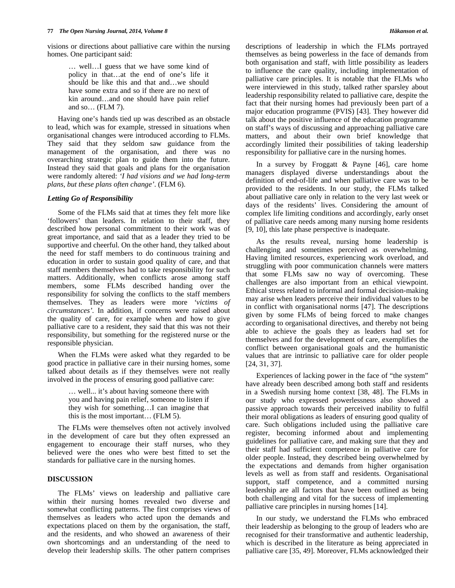visions or directions about palliative care within the nursing homes. One participant said:

> … well…I guess that we have some kind of policy in that…at the end of one's life it should be like this and that and…we should have some extra and so if there are no next of kin around…and one should have pain relief and so… (FLM 7).

 Having one's hands tied up was described as an obstacle to lead, which was for example, stressed in situations when organisational changes were introduced according to FLMs. They said that they seldom saw guidance from the management of the organisation, and there was no overarching strategic plan to guide them into the future. Instead they said that goals and plans for the organisation were randomly altered: *'I had visions and we had long-term plans, but these plans often change'*. (FLM 6).

# *Letting Go of Responsibility*

 Some of the FLMs said that at times they felt more like 'followers' than leaders. In relation to their staff, they described how personal commitment to their work was of great importance, and said that as a leader they tried to be supportive and cheerful. On the other hand, they talked about the need for staff members to do continuous training and education in order to sustain good quality of care, and that staff members themselves had to take responsibility for such matters. Additionally, when conflicts arose among staff members, some FLMs described handing over the responsibility for solving the conflicts to the staff members themselves. They as leaders were more *'victims of circumstances'.* In addition, if concerns were raised about the quality of care, for example when and how to give palliative care to a resident, they said that this was not their responsibility, but something for the registered nurse or the responsible physician.

 When the FLMs were asked what they regarded to be good practice in palliative care in their nursing homes, some talked about details as if they themselves were not really involved in the process of ensuring good palliative care:

> … well... it's about having someone there with you and having pain relief, someone to listen if they wish for something…I can imagine that this is the most important… (FLM 5).

 The FLMs were themselves often not actively involved in the development of care but they often expressed an engagement to encourage their staff nurses, who they believed were the ones who were best fitted to set the standards for palliative care in the nursing homes.

# **DISCUSSION**

 The FLMs' views on leadership and palliative care within their nursing homes revealed two diverse and somewhat conflicting patterns. The first comprises views of themselves as leaders who acted upon the demands and expectations placed on them by the organisation, the staff, and the residents, and who showed an awareness of their own shortcomings and an understanding of the need to develop their leadership skills. The other pattern comprises descriptions of leadership in which the FLMs portrayed themselves as being powerless in the face of demands from both organisation and staff, with little possibility as leaders to influence the care quality, including implementation of palliative care principles. It is notable that the FLMs who were interviewed in this study, talked rather sparsley about leadership responsibility related to palliative care, despite the fact that their nursing homes had previously been part of a major education programme (PVIS) [43]. They however did talk about the positive influence of the education programme on staff's ways of discussing and approaching palliative care matters, and about their own brief knowledge that accordingly limited their possibilities of taking leadership responsibility for palliative care in the nursing homes.

In a survey by Froggatt  $\&$  Payne [46], care home managers displayed diverse understandings about the definition of end-of-life and when palliative care was to be provided to the residents. In our study, the FLMs talked about palliative care only in relation to the very last week or days of the residents' lives. Considering the amount of complex life limiting conditions and accordingly, early onset of palliative care needs among many nursing home residents [9, 10], this late phase perspective is inadequate.

 As the results reveal, nursing home leadership is challenging and sometimes perceived as overwhelming. Having limited resources, experiencing work overload, and struggling with poor communication channels were matters that some FLMs saw no way of overcoming. These challenges are also important from an ethical viewpoint. Ethical stress related to informal and formal decision-making may arise when leaders perceive their individual values to be in conflict with organisational norms [47]. The descriptions given by some FLMs of being forced to make changes according to organisational directives, and thereby not being able to achieve the goals they as leaders had set for themselves and for the development of care, exemplifies the conflict between organisational goals and the humanistic values that are intrinsic to palliative care for older people [24, 31, 37].

 Experiences of lacking power in the face of "the system" have already been described among both staff and residents in a Swedish nursing home context [38, 48]. The FLMs in our study who expressed powerlessness also showed a passive approach towards their perceived inability to fulfil their moral obligations as leaders of ensuring good quality of care. Such obligations included using the palliative care register, becoming informed about and implementing guidelines for palliative care, and making sure that they and their staff had sufficient competence in palliative care for older people. Instead, they described being overwhelmed by the expectations and demands from higher organisation levels as well as from staff and residents. Organisational support, staff competence, and a committed nursing leadership are all factors that have been outlined as being both challenging and vital for the success of implementing palliative care principles in nursing homes [14].

 In our study, we understand the FLMs who embraced their leadership as belonging to the group of leaders who are recognised for their transformative and authentic leadership, which is described in the literature as being appreciated in palliative care [35, 49]. Moreover, FLMs acknowledged their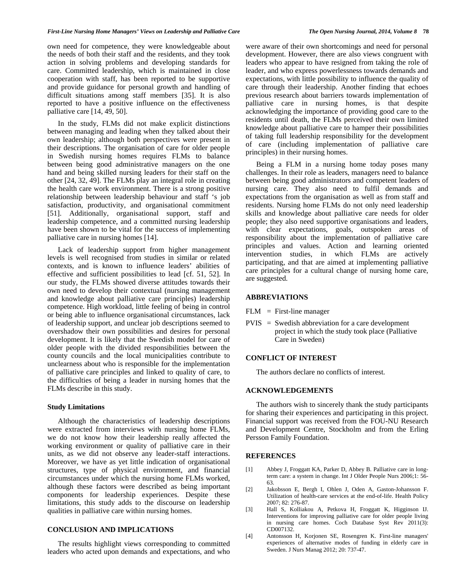own need for competence, they were knowledgeable about the needs of both their staff and the residents, and they took action in solving problems and developing standards for care. Committed leadership, which is maintained in close cooperation with staff, has been reported to be supportive and provide guidance for personal growth and handling of difficult situations among staff members [35]. It is also reported to have a positive influence on the effectiveness palliative care [14, 49, 50].

 In the study, FLMs did not make explicit distinctions between managing and leading when they talked about their own leadership; although both perspectives were present in their descriptions. The organisation of care for older people in Swedish nursing homes requires FLMs to balance between being good administrative managers on the one hand and being skilled nursing leaders for their staff on the other [24, 32, 49]. The FLMs play an integral role in creating the health care work environment. There is a strong positive relationship between leadership behaviour and staff 's job satisfaction, productivity, and organisational commitment [51]. Additionally, organisational support, staff and leadership competence, and a committed nursing leadership have been shown to be vital for the success of implementing palliative care in nursing homes [14].

 Lack of leadership support from higher management levels is well recognised from studies in similar or related contexts, and is known to influence leaders' abilities of effective and sufficient possibilities to lead [cf. 51, 52]. In our study, the FLMs showed diverse attitudes towards their own need to develop their contextual (nursing management and knowledge about palliative care principles) leadership competence. High workload, little feeling of being in control or being able to influence organisational circumstances, lack of leadership support, and unclear job descriptions seemed to overshadow their own possibilities and desires for personal development. It is likely that the Swedish model for care of older people with the divided responsibilities between the county councils and the local municipalities contribute to unclearness about who is responsible for the implementation of palliative care principles and linked to quality of care, to the difficulties of being a leader in nursing homes that the FLMs describe in this study.

#### **Study Limitations**

 Although the characteristics of leadership descriptions were extracted from interviews with nursing home FLMs, we do not know how their leadership really affected the working environment or quality of palliative care in their units, as we did not observe any leader-staff interactions. Moreover, we have as yet little indication of organisational structures, type of physical environment, and financial circumstances under which the nursing home FLMs worked, although these factors were described as being important components for leadership experiences. Despite these limitations, this study adds to the discourse on leadership qualities in palliative care within nursing homes.

# **CONCLUSION AND IMPLICATIONS**

 The results highlight views corresponding to committed leaders who acted upon demands and expectations, and who were aware of their own shortcomings and need for personal development. However, there are also views congruent with leaders who appear to have resigned from taking the role of leader, and who express powerlessness towards demands and expectations, with little possibility to influence the quality of care through their leadership. Another finding that echoes previous research about barriers towards implementation of palliative care in nursing homes, is that despite acknowledging the importance of providing good care to the residents until death, the FLMs perceived their own limited knowledge about palliative care to hamper their possibilities of taking full leadership responsibility for the development of care (including implementation of palliative care principles) in their nursing homes.

 Being a FLM in a nursing home today poses many challenges. In their role as leaders, managers need to balance between being good administrators and competent leaders of nursing care. They also need to fulfil demands and expectations from the organisation as well as from staff and residents. Nursing home FLMs do not only need leadership skills and knowledge about palliative care needs for older people; they also need supportive organisations and leaders, with clear expectations, goals, outspoken areas of responsibility about the implementation of palliative care principles and values. Action and learning oriented intervention studies, in which FLMs are actively participating, and that are aimed at implementing palliative care principles for a cultural change of nursing home care, are suggested.

## **ABBREVIATIONS**

- $FLM = First-line manager$
- PVIS = Swedish abbreviation for a care development project in which the study took place (Palliative Care in Sweden)

# **CONFLICT OF INTEREST**

The authors declare no conflicts of interest.

# **ACKNOWLEDGEMENTS**

 The authors wish to sincerely thank the study participants for sharing their experiences and participating in this project. Financial support was received from the FOU-NU Research and Development Centre, Stockholm and from the Erling Persson Family Foundation.

#### **REFERENCES**

- [1] Abbey J, Froggatt KA, Parker D, Abbey B. Palliative care in longterm care: a system in change. Int J Older People Nurs 2006;1: 56- 63.
- [2] Jakobsson E, Bergh I, Ohlen J, Oden A, Gaston-Johansson F. Utilization of health-care services at the end-of-life. Health Policy 2007; 82: 276-87.
- [3] Hall S, Kolliakou A, Petkova H, Froggatt K, Higginson IJ. Interventions for improving palliative care for older people living in nursing care homes. Coch Database Syst Rev 2011(3): CD007132.
- [4] Antonsson H, Korjonen SE, Rosengren K. First-line managers' experiences of alternative modes of funding in elderly care in Sweden. J Nurs Manag 2012; 20: 737-47.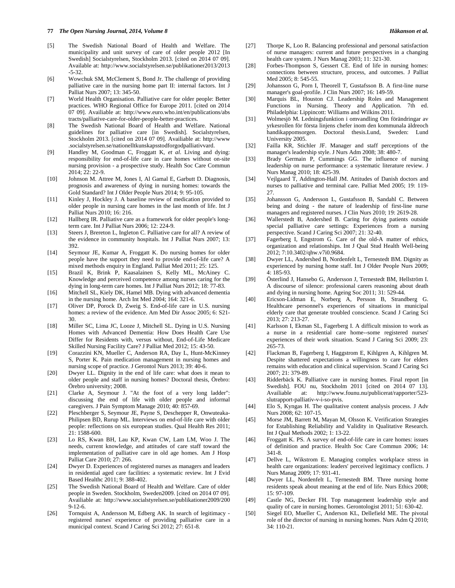#### **77** *The Open Nursing Journal, 2014, Volume 8 Håkanson et al.*

- [5] The Swedish National Board of Health and Welfare. The municipality and unit survey of care of older people 2012 [In Swedish] Socialstyrelsen, Stockholm 2013. [cited on 2014 07 09]. Available at: http://www.socialstyrelsen.se/publikationer2013/2013 -5-32.
- [6] Wowchuk SM, McClement S, Bond Jr. The challenge of providing palliative care in the nursing home part II: internal factors. Int J Palliat Nurs 2007; 13: 345-50.
- [7] World Health Organisation. Palliative care for older people: Better practices. WHO Regional Office for Europe 2011. [cited on 2014 07 09]. Availiable at: http://www.euro.who.int/en/publications/abs tracts/palliative-care-for-older-people-better-practices.
- [8] The Swedish National Board of Health and Welfare. National guidelines for palliative care [in Swedish]. Socialstyrelsen, Stockholm 2013. [cited on 2014 07 09]. Availiable at: http://www .socialstyrelsen.se/nationelltkunskapsstodforgodpalliativvard.
- [9] Handley M, Goodman C, Froggatt K, *et al*. Living and dying: responsibility for end-of-life care in care homes without on-site nursing provision - a prospective study. Health Soc Care Commun 2014; 22: 22-9.
- [10] Johnson M. Attree M, Jones I, Al Gamal E, Garbutt D. Diagnosis, prognosis and awareness of dying in nursing homes: towards the Gold Standard? Int J Older People Nurs 2014; 9: 95-105.
- [11] Kinley J, Hockley J. A baseline review of medication provided to older people in nursing care homes in the last month of life. Int J Palliat Nurs 2010; 16: 216.
- [12] Hallberg IR. Palliative care as a framework for older people's longterm care. Int J Palliat Nurs 2006; 12: 224-9.
- [13] Steers J, Brereton L, Ingleton C. Palliative care for all? A review of the evidence in community hospitals. Int J Palliat Nurs 2007; 13: 392.
- [14] Seymour JE, Kumar A, Froggatt K. Do nursing homes for older people have the support they need to provide end-of-life care? A mixed methods enquiry in England. Palliat Med 2011; 25: 125.
- [15] Brazil K, Brink P, Kaasalainen S, Kelly ML, McAiney C. Knowledge and perceived competence among nurses caring for the dying in long-term care homes. Int J Palliat Nurs 2012; 18: 77-83.
- [16] Mitchell SL, Kiely DK, Hamel MB. Dying with advanced dementia in the nursing home. Arch Int Med 2004; 164: 321-6.
- [17] Oliver DP, Porock D, Zweig S. End-of-life care in U.S. nursing homes: a review of the evidence. Am Med Dir Assoc 2005; 6: S21- 30.
- [18] Miller SC, Lima JC, Looze J, Mitchell SL. Dying in U.S. Nursing Homes with Advanced Dementia: How Does Health Care Use Differ for Residents with, versus without, End-of-Life Medicare Skilled Nursing Facility Care? J Palliat Med 2012; 15: 43-50.
- [19] Corazzini KN, Mueller C, Anderson RA, Day L, Hunt-McKinney S, Porter K. Pain medication management in nursing homes and nursing scope of practice. J Gerontol Nurs 2013; 39: 40-6.
- [20] Dwyer LL. Dignity in the end of life care: what does it mean to older people and staff in nursing homes? Doctoral thesis, Örebro: Örebro university; 2008.
- [21] Clarke A, Seymour J. "At the foot of a very long ladder": discussing the end of life with older people and informal caregivers. J Pain Symptom Manage 2010; 40: 857-69.
- [22] Pleschberger S, Seymour JE, Payne S, Deschepper R, Onwuteaka-Philipsen BD, Rurup ML. Interviews on end-of-life care with older people: reflections on six european studies. Qual Health Res 2011; 21: 1588-600.
- [23] Lo RS, Kwan BH, Lau KP, Kwan CW, Lam LM, Woo J. The needs, current knowledge, and attitudes of care staff toward the implementation of palliative care in old age homes. Am J Hosp Palliat Care 2010; 27: 266.
- [24] Dwyer D. Experiences of registered nurses as managers and leaders in residential aged care facilities: a systematic review. Int J Evid Based Healthc 2011; 9: 388-402.
- [25] The Swedish National Board of Health and Welfare. Care of older people in Sweden. Stockholm, Sweden2009. [cited on 2014 07 09]. Availiable at: http://www.socialstyrelsen.se/publikationer2009/200  $9 - 12 - 6$ .
- [26] Tornquist A, Andersson M, Edberg AK. In search of legitimacy registered nurses' experience of providing palliative care in a municipal context. Scand J Caring Sci 2012; 27: 651-8.
- [27] Thorpe K, Loo R. Balancing professional and personal satisfaction of nurse managers: current and future perspectives in a changing health care system. J Nurs Manag 2003; 11: 321-30.
- [28] Forbes-Thompson S, Gessert CE. End of life in nursing homes: connections between structure, process, and outcomes. J Palliat Med 2005; 8: 545-55.
- [29] Johansson G, Porn I, Theorell T, Gustafsson B. A first-line nurse manager's goal-profile. J Clin Nurs 2007; 16: 149-59.
- [30] Marquis BL, Houston CJ. Leadership Roles and Management Functions in Nursing. Theory and Application. 7th ed. Philadelphia: Lippincott: Williams and Wilkins 2011.
- [31] Wolmesjö M. Ledningsfunktion i omvandling Om förändringar av yrkesrollen för första linjens chefer inom den kommunala äldreoch handikappomsorgen. Doctoral thesis.Lund, Sweden: Lund University 2005.
- [32] Failla KR, Stichler JF. Manager and staff perceptions of the manager's leadership style. J Nurs Adm 2008; 38: 480-7.
- [33] Brady Germain P, Cummings GG. The influence of nursing leadership on nurse performance: a systematic literature review. J Nurs Manag 2010; 18: 425-39.
- [34] Vejlgaard T, Addington-Hall JM. Attitudes of Danish doctors and nurses to palliative and terminal care. Palliat Med 2005; 19: 119- 27.
- [35] Johansson G, Andersson L, Gustafsson B, Sandahl C. Between being and doing - the nature of leadership of first-line nurse managers and registered nurses. J Clin Nurs 2010; 19: 2619-28.
- [36] Wallerstedt B, Andershed B. Caring for dying patients outside special palliative care settings: Experiences from a nursing perspective. Scand J Caring Sci 2007; 21: 32-40.
- [37] Fagerberg I, Engstrom G. Care of the old-A matter of ethics, organization and relationships. Int J Qual Stud Health Well-being 2012; 7:10.3402/qhw.v7i0.9684.
- [38] Dwyer LL, Andershed B, Nordenfelt L, Ternestedt BM. Dignity as experienced by nursing home staff. Int J Older People Nurs 2009;  $4.185-93$
- [39] Österlind J, Hansebo G, Andersson J, Ternestedt BM, Hellström I. A discourse of silence: professional carers reasoning about death and dying in nursing home. Ageing Soc 2011; 31: 529-44.
- [40] Ericson-Lidman E, Norberg A, Persson B, Strandberg G. Healthcare personnel's experiences of situations in municipal elderly care that generate troubled conscience. Scand J Caring Sci 2013; 27: 213-27.
- [41] Karlsson I, Ekman SL, Fagerberg I. A difficult mission to work as a nurse in a residential care home--some registered nurses' experiences of their work situation. Scand J Caring Sci 2009; 23: 265-73.
- [42] Flackman B, Fagerberg I, Haggstrom E, Kihlgren A, Kihlgren M. Despite shattered expectations a willingness to care for elders remains with education and clinical supervision. Scand J Caring Sci 2007; 21: 379-89.
- [43] Ridderbäck K. Palliative care in nursing homes. Final report [in Swedish]. FOU nu, Stockholm 2011 [cited on 2014 07 13]. Availiable at: http://www.founu.nu/publicerat/rapporter/523 slutrapport-palliativ-v-i-so-pvis.
- [44] Elo S, Kyngas H. The qualitative content analysis process. J Adv Nurs 2008; 62: 107-15.
- [45] Morse JM, Barrett M, Mayan M, Olsson K. Verification Strategies for Establishing Reliability and Validity in Qualitative Research. Int J Qual Methods 2002; 1: 13-22.
- [46] Froggatt K. PS. A survey of end-of-life care in care homes: issues of definition and practice. Health Soc Care Commun 2006; 14: 341-8.
- [47] Dellve L, Wikstrom E. Managing complex workplace stress in health care organizations: leaders' perceived legitimacy conflicts. J Nurs Manag 2009; 17: 931-41.
- [48] Dwyer LL, Nordenfelt L, Ternestedt BM. Three nursing home residents speak about meaning at the end of life. Nurs Ethics 2008; 15: 97-109.
- [49] Castle NG, Decker FH. Top management leadership style and quality of care in nursing homes. Gerontologist 2011; 51: 630-42.
- [50] Siegel EO, Mueller C, Anderson KL, Dellefield ME. The pivotal role of the director of nursing in nursing homes. Nurs Adm Q 2010; 34: 110-21.